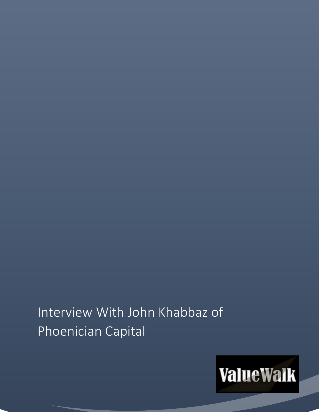# Interview With John Khabbaz of Phoenician Capital

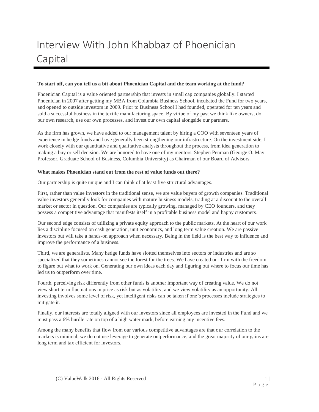## Interview With John Khabbaz of Phoenician Capital

#### **To start off, can you tell us a bit about Phoenician Capital and the team working at the fund?**

Phoenician Capital is a value oriented partnership that invests in small cap companies globally. I started Phoenician in 2007 after getting my MBA from Columbia Business School, incubated the Fund for two years, and opened to outside investors in 2009. Prior to Business School I had founded, operated for ten years and sold a successful business in the textile manufacturing space. By virtue of my past we think like owners, do our own research, use our own processes, and invest our own capital alongside our partners.

As the firm has grown, we have added to our management talent by hiring a COO with seventeen years of experience in hedge funds and have generally been strengthening our infrastructure. On the investment side, I work closely with our quantitative and qualitative analysts throughout the process, from idea generation to making a buy or sell decision. We are honored to have one of my mentors, Stephen Penman (George O. May Professor, Graduate School of Business, Columbia University) as Chairman of our Board of Advisors.

#### **What makes Phoenician stand out from the rest of value funds out there?**

Our partnership is quite unique and I can think of at least five structural advantages.

First, rather than value investors in the traditional sense, we are value buyers of growth companies. Traditional value investors generally look for companies with mature business models, trading at a discount to the overall market or sector in question. Our companies are typically growing, managed by CEO founders, and they possess a competitive advantage that manifests itself in a profitable business model and happy customers.

Our second edge consists of utilizing a private equity approach to the public markets. At the heart of our work lies a discipline focused on cash generation, unit economics, and long term value creation. We are passive investors but will take a hands-on approach when necessary. Being in the field is the best way to influence and improve the performance of a business.

Third, we are generalists. Many hedge funds have slotted themselves into sectors or industries and are so specialized that they sometimes cannot see the forest for the trees. We have created our firm with the freedom to figure out what to work on. Generating our own ideas each day and figuring out where to focus our time has led us to outperform over time.

Fourth, perceiving risk differently from other funds is another important way of creating value. We do not view short term fluctuations in price as risk but as volatility, and we view volatility as an opportunity. All investing involves some level of risk, yet intelligent risks can be taken if one's processes include strategies to mitigate it.

Finally, our interests are totally aligned with our investors since all employees are invested in the Fund and we must pass a 6% hurdle rate on top of a high water mark, before earning any incentive fees.

Among the many benefits that flow from our various competitive advantages are that our correlation to the markets is minimal, we do not use leverage to generate outperformance, and the great majority of our gains are long term and tax efficient for investors.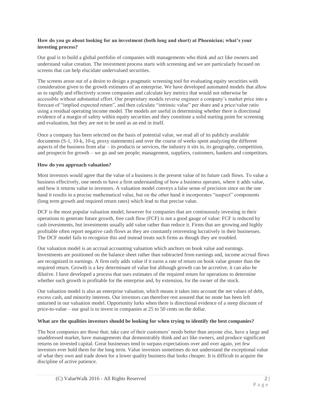#### **How do you go about looking for an investment (both long and short) at Phoenician; what's your investing process?**

Our goal is to build a global portfolio of companies with managements who think and act like owners and understand value creation. The investment process starts with screening and we are particularly focused on screens that can help elucidate undervalued securities.

The screens arose out of a desire to design a pragmatic screening tool for evaluating equity securities with consideration given to the growth estimates of an enterprise. We have developed automated models that allow us to rapidly and effectively screen companies and calculate key metrics that would not otherwise be accessible without substantial effort. Our proprietary models reverse engineer a company's market price into a forecast of "implied expected return", and then calculate "intrinsic value" per share and a price/value ratio using a residual operating income model. The models are useful in determining whether there is directional evidence of a margin of safety within equity securities and they constitute a solid starting point for screening and evaluation, but they are not to be used as an end in itself.

Once a company has been selected on the basis of potential value, we read all of its publicly available documents (S-1, 10-k, 10-q, proxy statements) and over the course of weeks spent analyzing the different aspects of the business from afar – its products or services, the industry it sits in, its geography, competition, and prospects for growth – we go and see people; management, suppliers, customers, bankers and competitors.

#### **How do you approach valuation?**

Most investors would agree that the value of a business is the present value of its future cash flows. To value a business effectively, one needs to have a firm understanding of how a business operates, where it adds value, and how it returns value to investors. A valuation model conveys a false sense of precision since on the one hand it results in a precise mathematical value, but on the other hand it incorporates "suspect" components (long term growth and required return rates) which lead to that precise value.

DCF is the most popular valuation model, however for companies that are continuously investing in their operations to generate future growth, free cash flow (FCF) is not a good gauge of value: FCF is reduced by cash investments, but investments usually add value rather than reduce it. Firms that are growing and highly profitable often report negative cash flows as they are constantly reinvesting lucratively in their businesses. The DCF model fails to recognize this and instead treats such firms as though they are troubled.

Our valuation model is an accrual accounting valuation which anchors on book value and earnings. Investments are positioned on the balance sheet rather than subtracted from earnings and, income accrual flows are recognized in earnings. A firm only adds value if it earns a rate of return on book value greater than the required return. Growth is a key determinant of value but although growth can be accretive, it can also be dilutive. I have developed a process that uses estimates of the required return for operations to determine whether such growth is profitable for the enterprise and, by extension, for the owner of the stock.

Our valuation model is also an enterprise valuation, which means it takes into account the net values of debt, excess cash, and minority interests. Our investors can therefore rest assured that no stone has been left unturned in our valuation model. Opportunity lurks when there is directional evidence of a steep discount of price-to-value – our goal is to invest in companies at 25 to 50 cents on the dollar.

#### **What are the qualities investors should be looking for when trying to identify the best companies?**

The best companies are those that; take care of their customers' needs better than anyone else, have a large and unaddressed market, have managements that demonstrably think and act like owners, and produce significant returns on invested capital. Great businesses tend to surpass expectations over and over again, yet few investors ever hold them for the long term. Value investors sometimes do not understand the exceptional value of what they own and trade down for a lower quality business that looks cheaper. It is difficult to acquire the discipline of active patience.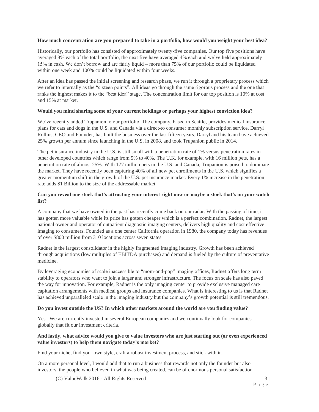#### **How much concentration are you prepared to take in a portfolio, how would you weight your best idea?**

Historically, our portfolio has consisted of approximately twenty-five companies. Our top five positions have averaged 8% each of the total portfolio, the next five have averaged 4% each and we've held approximately 15% in cash. We don't borrow and are fairly liquid – more than 75% of our portfolio could be liquidated within one week and 100% could be liquidated within four weeks.

After an idea has passed the initial screening and research phase, we run it through a proprietary process which we refer to internally as the "sixteen points". All ideas go through the same rigorous process and the one that ranks the highest makes it to the "best idea" stage. The concentration limit for our top position is 10% at cost and 15% at market.

#### **Would you mind sharing some of your current holdings or perhaps your highest conviction idea?**

We've recently added Trupanion to our portfolio. The company, based in Seattle, provides medical insurance plans for cats and dogs in the U.S. and Canada via a direct-to consumer monthly subscription service. Darryl Rollins, CEO and Founder, has built the business over the last fifteen years. Darryl and his team have achieved 25% growth per annum since launching in the U.S. in 2008, and took Trupanion public in 2014.

The pet insurance industry in the U.S. is still small with a penetration rate of 1% versus penetration rates in other developed countries which range from 5% to 40%. The U.K. for example, with 16 million pets, has a penetration rate of almost 25%. With 177 million pets in the U.S. and Canada, Trupanion is poised to dominate the market. They have recently been capturing 40% of all new pet enrollments in the U.S. which signifies a greater momentum shift in the growth of the U.S. pet insurance market. Every 1% increase in the penetration rate adds \$1 Billion to the size of the addressable market.

#### **Can you reveal one stock that's attracting your interest right now or maybe a stock that's on your watch list?**

A company that we have owned in the past has recently come back on our radar. With the passing of time, it has gotten more valuable while its price has gotten cheaper which is a perfect combination. Radnet, the largest national owner and operator of outpatient diagnostic imaging centers, delivers high quality and cost effective imaging to consumers. Founded as a one center California operation in 1980, the company today has revenues of over \$800 million from 310 locations across seven states.

Radnet is the largest consolidator in the highly fragmented imaging industry. Growth has been achieved through acquisitions (low multiples of EBITDA purchases) and demand is fueled by the culture of preventative medicine.

By leveraging economies of scale inaccessible to "mom-and-pop" imaging offices, Radnet offers long term stability to operators who want to join a larger and stronger infrastructure. The focus on scale has also paved the way for innovation. For example, Radnet is the only imaging center to provide exclusive managed care capitation arrangements with medical groups and insurance companies. What is interesting to us is that Radnet has achieved unparalleled scale in the imaging industry but the company's growth potential is still tremendous.

#### **Do you invest outside the US? In which other markets around the world are you finding value?**

Yes. We are currently invested in several European companies and we continually look for companies globally that fit our investment criteria.

#### **And lastly, what advice would you give to value investors who are just starting out (or even experienced value investors) to help them navigate today's market?**

Find your niche, find your own style, craft a robust investment process, and stick with it.

On a more personal level, I would add that to run a business that rewards not only the founder but also investors, the people who believed in what was being created, can be of enormous personal satisfaction.